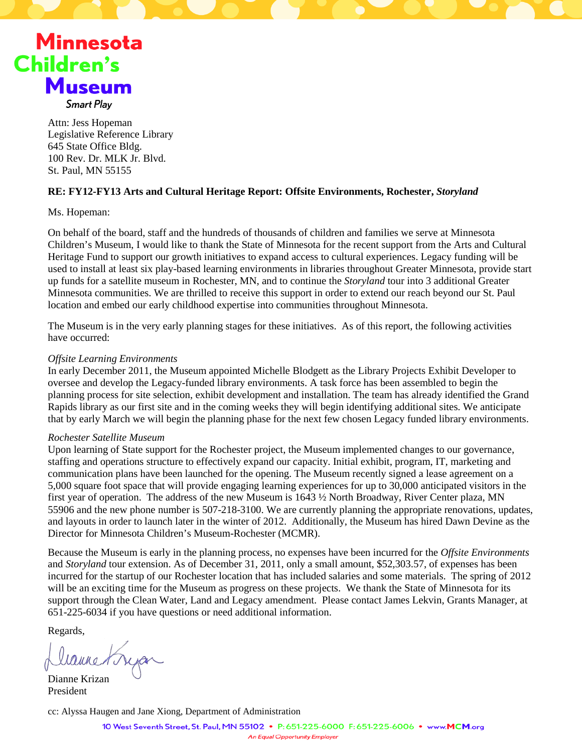

Attn: Jess Hopeman Legislative Reference Library 645 State Office Bldg. 100 Rev. Dr. MLK Jr. Blvd. St. Paul, MN 55155

#### **RE: FY12-FY13 Arts and Cultural Heritage Report: Offsite Environments, Rochester,** *Storyland*

Ms. Hopeman:

On behalf of the board, staff and the hundreds of thousands of children and families we serve at Minnesota Children's Museum, I would like to thank the State of Minnesota for the recent support from the Arts and Cultural Heritage Fund to support our growth initiatives to expand access to cultural experiences. Legacy funding will be used to install at least six play-based learning environments in libraries throughout Greater Minnesota, provide start up funds for a satellite museum in Rochester, MN, and to continue the *Storyland* tour into 3 additional Greater Minnesota communities. We are thrilled to receive this support in order to extend our reach beyond our St. Paul location and embed our early childhood expertise into communities throughout Minnesota.

The Museum is in the very early planning stages for these initiatives. As of this report, the following activities have occurred:

#### *Offsite Learning Environments*

In early December 2011, the Museum appointed Michelle Blodgett as the Library Projects Exhibit Developer to oversee and develop the Legacy-funded library environments. A task force has been assembled to begin the planning process for site selection, exhibit development and installation. The team has already identified the Grand Rapids library as our first site and in the coming weeks they will begin identifying additional sites. We anticipate that by early March we will begin the planning phase for the next few chosen Legacy funded library environments.

#### *Rochester Satellite Museum*

Upon learning of State support for the Rochester project, the Museum implemented changes to our governance, staffing and operations structure to effectively expand our capacity. Initial exhibit, program, IT, marketing and communication plans have been launched for the opening. The Museum recently signed a lease agreement on a 5,000 square foot space that will provide engaging learning experiences for up to 30,000 anticipated visitors in the first year of operation. The address of the new Museum is 1643 ½ North Broadway, River Center plaza, MN 55906 and the new phone number is 507-218-3100. We are currently planning the appropriate renovations, updates, and layouts in order to launch later in the winter of 2012. Additionally, the Museum has hired Dawn Devine as the Director for Minnesota Children's Museum-Rochester (MCMR).

Because the Museum is early in the planning process, no expenses have been incurred for the *Offsite Environments*  and *Storyland* tour extension. As of December 31, 2011, only a small amount, \$52,303.57, of expenses has been incurred for the startup of our Rochester location that has included salaries and some materials. The spring of 2012 will be an exciting time for the Museum as progress on these projects. We thank the State of Minnesota for its support through the Clean Water, Land and Legacy amendment. Please contact James Lekvin, Grants Manager, at 651-225-6034 if you have questions or need additional information.

Regards,

Dianne Krizan President

cc: Alyssa Haugen and Jane Xiong, Department of Administration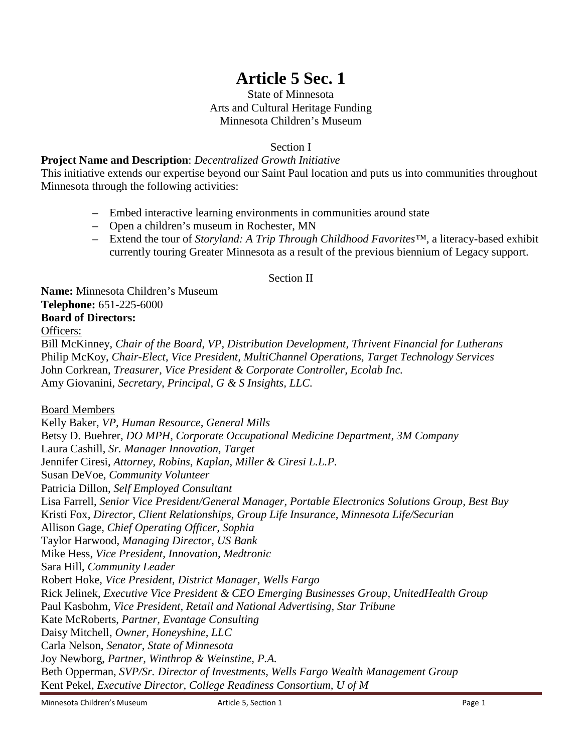# **Article 5 Sec. 1**

### State of Minnesota Arts and Cultural Heritage Funding Minnesota Children's Museum

Section I

# **Project Name and Description**: *Decentralized Growth Initiative*

This initiative extends our expertise beyond our Saint Paul location and puts us into communities throughout Minnesota through the following activities:

- Embed interactive learning environments in communities around state
- Open a children's museum in Rochester, MN
- Extend the tour of *Storyland: A Trip Through Childhood Favorites™*, a literacy-based exhibit currently touring Greater Minnesota as a result of the previous biennium of Legacy support.

### Section II

**Name:** Minnesota Children's Museum **Telephone:** 651-225-6000 **Board of Directors:**

Officers:

Bill McKinney, *Chair of the Board*, *VP, Distribution Development, Thrivent Financial for Lutherans* Philip McKoy, *Chair-Elect*, *Vice President, MultiChannel Operations, Target Technology Services* John Corkrean, *Treasurer, Vice President & Corporate Controller, Ecolab Inc.* Amy Giovanini, *Secretary*, *Principal, G & S Insights, LLC.*

Board Members

Kelly Baker, *VP, Human Resource, General Mills* Betsy D. Buehrer, *DO MPH, Corporate Occupational Medicine Department, 3M Company* Laura Cashill, *Sr. Manager Innovation, Target*  Jennifer Ciresi, *Attorney, Robins, Kaplan, Miller & Ciresi L.L.P.* Susan DeVoe, *Community Volunteer* Patricia Dillon*, Self Employed Consultant* Lisa Farrell, *Senior Vice President/General Manager, Portable Electronics Solutions Group, Best Buy* Kristi Fox*, Director, Client Relationships, Group Life Insurance, Minnesota Life/Securian* Allison Gage, *Chief Operating Officer, Sophia* Taylor Harwood, *Managing Director, US Bank* Mike Hess, *Vice President, Innovation, Medtronic*  Sara Hill, *Community Leader* Robert Hoke, *Vice President, District Manager, Wells Fargo* Rick Jelinek, *Executive Vice President & CEO Emerging Businesses Group, UnitedHealth Group* Paul Kasbohm, *Vice President, Retail and National Advertising, Star Tribune* Kate McRoberts, *Partner, Evantage Consulting* Daisy Mitchell, *Owner, Honeyshine, LLC* Carla Nelson, *Senator, State of Minnesota* Joy Newborg, *Partner, Winthrop & Weinstine, P.A.* Beth Opperman, *SVP/Sr. Director of Investments, Wells Fargo Wealth Management Group* Kent Pekel, *Executive Director, College Readiness Consortium, U of M*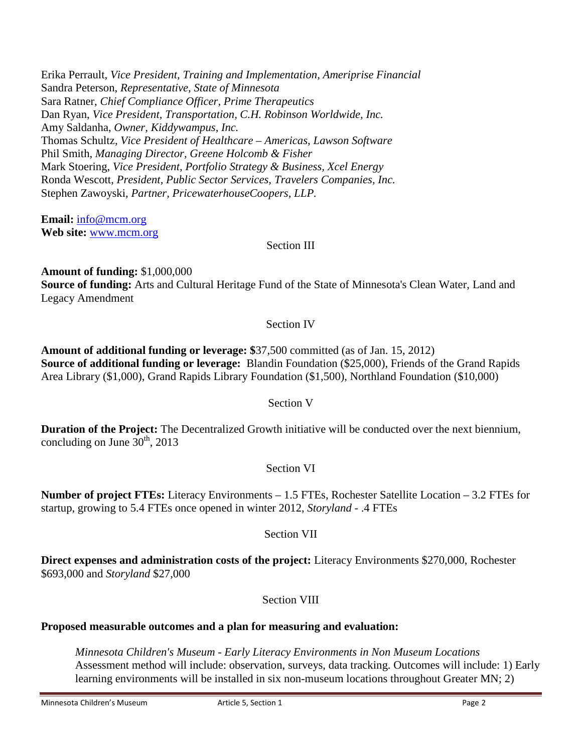Erika Perrault, *Vice President, Training and Implementation, Ameriprise Financial* Sandra Peterson, *Representative, State of Minnesota* Sara Ratner, *Chief Compliance Officer, Prime Therapeutics* Dan Ryan, *Vice President, Transportation, C.H. Robinson Worldwide, Inc.* Amy Saldanha, *Owner, Kiddywampus, Inc.* Thomas Schultz, *Vice President of Healthcare – Americas, Lawson Software*  Phil Smith, *Managing Director, Greene Holcomb & Fisher* Mark Stoering, *Vice President, Portfolio Strategy & Business, Xcel Energy* Ronda Wescott, *President, Public Sector Services, Travelers Companies, Inc.* Stephen Zawoyski, *Partner, PricewaterhouseCoopers, LLP.*

**Email:** [info@mcm.org](mailto:info@mcm.org) **Web site:** [www.mcm.org](http://www.mcm.org/)

Section III

**Amount of funding:** \$1,000,000 **Source of funding:** Arts and Cultural Heritage Fund of the State of Minnesota's Clean Water, Land and Legacy Amendment

# Section IV

**Amount of additional funding or leverage: \$**37,500 committed (as of Jan. 15, 2012) **Source of additional funding or leverage:** Blandin Foundation (\$25,000), Friends of the Grand Rapids Area Library (\$1,000), Grand Rapids Library Foundation (\$1,500), Northland Foundation (\$10,000)

# Section V

**Duration of the Project:** The Decentralized Growth initiative will be conducted over the next biennium, concluding on June  $30<sup>th</sup>$ , 2013

# Section VI

**Number of project FTEs:** Literacy Environments – 1.5 FTEs, Rochester Satellite Location – 3.2 FTEs for startup, growing to 5.4 FTEs once opened in winter 2012, *Storyland* - .4 FTEs

# Section VII

**Direct expenses and administration costs of the project:** Literacy Environments \$270,000, Rochester \$693,000 and *Storyland* \$27,000

# Section VIII

# **Proposed measurable outcomes and a plan for measuring and evaluation:**

*Minnesota Children's Museum - Early Literacy Environments in Non Museum Locations* Assessment method will include: observation, surveys, data tracking. Outcomes will include: 1) Early learning environments will be installed in six non-museum locations throughout Greater MN; 2)